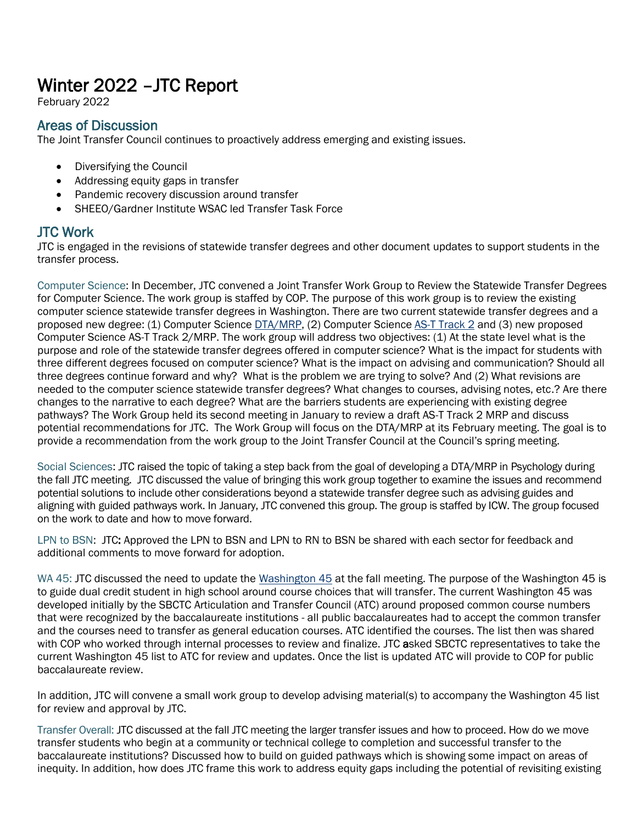# Winter 2022 –JTC Report

February 2022

## Areas of Discussion

The Joint Transfer Council continues to proactively address emerging and existing issues.

- Diversifying the Council
- Addressing equity gaps in transfer
- Pandemic recovery discussion around transfer
- SHEEO/Gardner Institute WSAC led Transfer Task Force

## JTC Work

JTC is engaged in the revisions of statewide transfer degrees and other document updates to support students in the transfer process.

Computer Science: In December, JTC convened a Joint Transfer Work Group to Review the Statewide Transfer Degrees for Computer Science. The work group is staffed by COP. The purpose of this work group is to review the existing computer science statewide transfer degrees in Washington. There are two current statewide transfer degrees and a proposed new degree: (1) Computer Science **DTA/MRP**, (2) Computer Scienc[e AS-T Track 2](https://wsac.wa.gov/sites/default/files/AST2Agreement2017.pdf) and (3) new proposed Computer Science AS-T Track 2/MRP. The work group will address two objectives: (1) At the state level what is the purpose and role of the statewide transfer degrees offered in computer science? What is the impact for students with three different degrees focused on computer science? What is the impact on advising and communication? Should all three degrees continue forward and why? What is the problem we are trying to solve? And (2) What revisions are needed to the computer science statewide transfer degrees? What changes to courses, advising notes, etc.? Are there changes to the narrative to each degree? What are the barriers students are experiencing with existing degree pathways? The Work Group held its second meeting in January to review a draft AS-T Track 2 MRP and discuss potential recommendations for JTC. The Work Group will focus on the DTA/MRP at its February meeting. The goal is to provide a recommendation from the work group to the Joint Transfer Council at the Council's spring meeting.

Social Sciences: JTC raised the topic of taking a step back from the goal of developing a DTA/MRP in Psychology during the fall JTC meeting. JTC discussed the value of bringing this work group together to examine the issues and recommend potential solutions to include other considerations beyond a statewide transfer degree such as advising guides and aligning with guided pathways work. In January, JTC convened this group. The group is staffed by ICW. The group focused on the work to date and how to move forward.

LPN to BSN: JTC: Approved the LPN to BSN and LPN to RN to BSN be shared with each sector for feedback and additional comments to move forward for adoption.

WA 45: JTC discussed the need to update the [Washington 45](https://www.sbctc.edu/colleges-staff/programs-services/transfer/washington-45.aspx) at the fall meeting. The purpose of the Washington 45 is to guide dual credit student in high school around course choices that will transfer. The current Washington 45 was developed initially by the SBCTC Articulation and Transfer Council (ATC) around proposed common course numbers that were recognized by the baccalaureate institutions - all public baccalaureates had to accept the common transfer and the courses need to transfer as general education courses. ATC identified the courses. The list then was shared with COP who worked through internal processes to review and finalize. JTC asked SBCTC representatives to take the current Washington 45 list to ATC for review and updates. Once the list is updated ATC will provide to COP for public baccalaureate review.

In addition, JTC will convene a small work group to develop advising material(s) to accompany the Washington 45 list for review and approval by JTC.

Transfer Overall: JTC discussed at the fall JTC meeting the larger transfer issues and how to proceed. How do we move transfer students who begin at a community or technical college to completion and successful transfer to the baccalaureate institutions? Discussed how to build on guided pathways which is showing some impact on areas of inequity. In addition, how does JTC frame this work to address equity gaps including the potential of revisiting existing